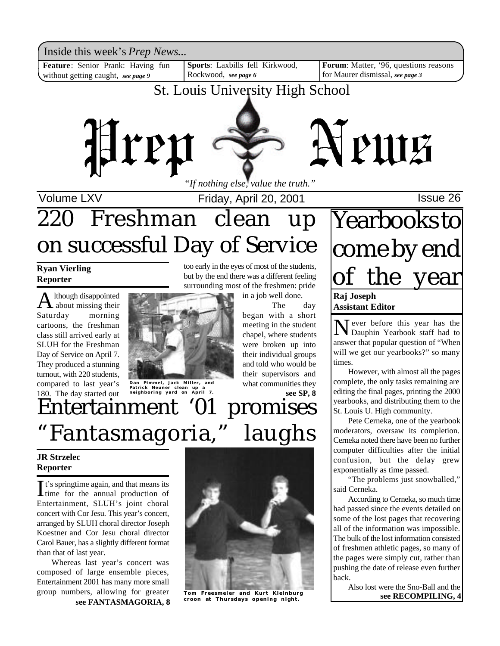Inside this week's *Prep News*...<br>Feature: Senior Prank: Having fun | Sports: Laxbills fell Kirkwood, | Forum: Matter, '96, questions reasons

**Feature**: Senior Prank: Having fun without getting caught, *see page 9*

**Sports**: Laxbills fell Kirkwood, Rockwood, *see page 6*

**Forum**: Matter, '96, questions reasons for Maurer dismissal, *see page 3*

St. Louis University High School



*"If nothing else, value the truth."*

Volume LXV **Internal Contract Prices** Friday, April 20, 2001 **ISSUE 26** 

# 220 Freshman clean up on successful Day of Service

### **Ryan Vierling Reporter**

A lthough disappointed lthough disappointed Saturday morning cartoons, the freshman class still arrived early at SLUH for the Freshman Day of Service on April 7. They produced a stunning turnout, with 220 students, compared to last year's 180. The day started out



**Dan Pimmel, Jack Miller, and Patrick Neuner clean up a neighboring yard on April 7.**

too early in the eyes of most of the students, but by the end there was a different feeling surrounding most of the freshmen: pride

in a job well done.

The day began with a short meeting in the student chapel, where students were broken up into their individual groups and told who would be their supervisors and what communities they **see SP, 8**

## Entertainment '01 promises "Fantasmagoria," laughs

### **JR Strzelec Reporter**

 $\prod$ <sup>t's</sup> springtime again, and that means its<br>time for the annual production of t's springtime again, and that means its Entertainment, SLUH's joint choral concert with Cor Jesu. This year's concert, arranged by SLUH choral director Joseph Koestner and Cor Jesu choral director Carol Bauer, has a slightly different format than that of last year.

Whereas last year's concert was composed of large ensemble pieces, Entertainment 2001 has many more small group numbers, allowing for greater **Tom Freesmeier and Kurt Kleinburg croon at Thursdays Spening night.** See RECOMPILING, 4



**see FANTASMAGORIA, 8**



## **Yearbooks to** come by end of the year **Raj Joseph Assistant Editor**

Never before this year has the<br>Dauphin Yearbook staff had to Dauphin Yearbook staff had to answer that popular question of "When will we get our yearbooks?" so many times.

However, with almost all the pages complete, the only tasks remaining are editing the final pages, printing the 2000 yearbooks, and distributing them to the St. Louis U. High community.

Pete Cerneka, one of the yearbook moderators, oversaw its completion. Cerneka noted there have been no further computer difficulties after the initial confusion, but the delay grew exponentially as time passed.

"The problems just snowballed," said Cerneka.

According to Cerneka, so much time had passed since the events detailed on some of the lost pages that recovering all of the information was impossible. The bulk of the lost information consisted of freshmen athletic pages, so many of the pages were simply cut, rather than pushing the date of release even further back.

Also lost were the Sno-Ball and the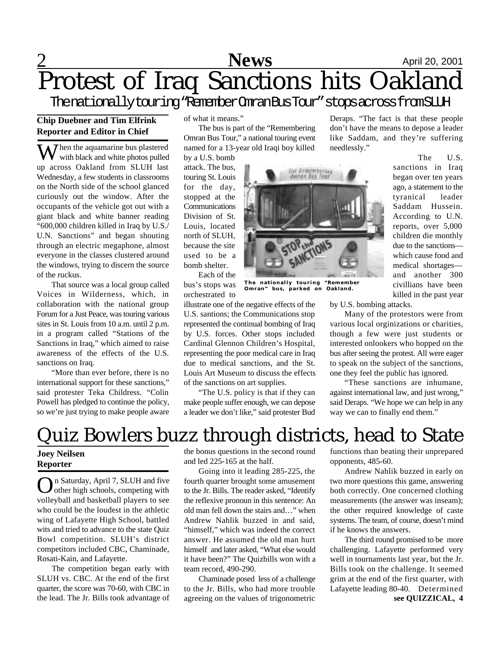# **2** April 20, 2001 Protest of Iraq Sanctions hits Oakland

Thenationallytouring"RememberOmranBusTour"stopsacrossfromSLUH

#### **Chip Duebner and Tim Elfrink Reporter and Editor in Chief**

 $\sum$  *T* hen the aquamarine bus plastered with black and white photos pulled up across Oakland from SLUH last Wednesday, a few students in classrooms on the North side of the school glanced curiously out the window. After the occupants of the vehicle got out with a giant black and white banner reading "600,000 children killed in Iraq by U.S./ U.N. Sanctions" and began shouting through an electric megaphone, almost everyone in the classes clustered around the windows, trying to discern the source of the ruckus.

That source was a local group called Voices in Wilderness, which, in collaboration with the national group Forum for a Just Peace, was touring various sites in St. Louis from 10 a.m. until 2 p.m. in a program called "Stations of the Sanctions in Iraq," which aimed to raise awareness of the effects of the U.S. sanctions on Iraq.

"More than ever before, there is no international support for these sanctions," said protester Teka Childress. "Colin Powell has pledged to continue the policy, so we're just trying to make people aware of what it means."

The bus is part of the "Remembering Omran Bus Tour," a national touring event named for a 13-year old Iraqi boy killed

by a U.S. bomb attack. The bus, touring St. Louis for the day, stopped at the Communications Division of St. Louis, located north of SLUH, because the site used to be a bomb shelter.

Each of the bus's stops was orchestrated to

illustrate one of the negative effects of the U.S. santions; the Communications stop represented the continual bombing of Iraq by U.S. forces. Other stops included Cardinal Glennon Children's Hospital, representing the poor medical care in Iraq due to medical sanctions, and the St. Louis Art Museum to discuss the effects of the sanctions on art supplies.

"The U.S. policy is that if they can make people suffer enough, we can depose a leader we don't like," said protester Bud



The U.S. sanctions in Iraq began over ten years ago, a statement to the tyranical leader Saddam Hussein. According to U.N. reports, over 5,000 children die monthly due to the sanctions which cause food and medical shortages and another 300 civillians have been killed in the past year

**The nationally touring "Remember Omran"** bus, parked on

Ine Kemembering<br>Buran Bus Tour

by U.S. bombing attacks.

Many of the protestors were from various local orginizations or charities, though a few were just students or interested onlookers who hopped on the bus after seeing the protest. All were eager to speak on the subject of the sanctions, one they feel the public has ignored.

"These sanctions are inhumane, against international law, and just wrong," said Deraps. "We hope we can help in any way we can to finally end them."

## Quiz Bowlers buzz through districts, head to State

### **Joey Neilsen Reporter**

On Saturday, April 7, SLUH and five<br>
other high schools, competing with other high schools, competing with volleyball and basketball players to see who could be the loudest in the athletic wing of Lafayette High School, battled wits and tried to advance to the state Quiz Bowl competition. SLUH's district competitors included CBC, Chaminade, Rosati-Kain, and Lafayette.

The competition began early with SLUH vs. CBC. At the end of the first quarter, the score was 70-60, with CBC in the lead. The Jr. Bills took advantage of

the bonus questions in the second round and led 225-165 at the half.

Going into it leading 285-225, the fourth quarter brought some amusement to the Jr. Bills. The reader asked, "Identify the reflexive pronoun in this sentence: An old man fell down the stairs and…" when Andrew Nahlik buzzed in and said, "himself," which was indeed the correct answer. He assumed the old man hurt himself and later asked, "What else would it have been?" The Quizbills won with a team record, 490-290.

Chaminade posed less of a challenge to the Jr. Bills, who had more trouble agreeing on the values of trigonometric functions than beating their unprepared opponents, 485-60.

Andrew Nahlik buzzed in early on two more questions this game, answering both correctly. One concerned clothing measurements (the answer was inseam); the other required knowledge of caste systems. The team, of course, doesn't mind if he knows the answers.

The third round promised to be more challenging. Lafayette performed very well in tournaments last year, but the Jr. Bills took on the challenge. It seemed grim at the end of the first quarter, with Lafayette leading 80-40. Determined **see QUIZZICAL, 4**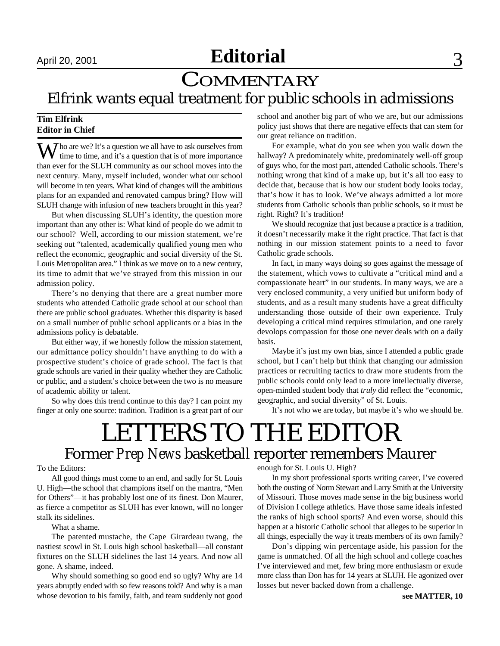## April 20, 2001 **Editorial** 3

## **COMMENTARY** Elfrink wants equal treatment for public schools in admissions

#### **Tim Elfrink Editor in Chief**

Who are we? It's a question we all have to ask ourselves from  $\blacktriangledown$  time to time, and it's a question that is of more importance than ever for the SLUH community as our school moves into the next century. Many, myself included, wonder what our school will become in ten years. What kind of changes will the ambitious plans for an expanded and renovated campus bring? How will SLUH change with infusion of new teachers brought in this year?

But when discussing SLUH's identity, the question more important than any other is: What kind of people do we admit to our school? Well, according to our mission statement, we're seeking out "talented, academically qualified young men who reflect the economic, geographic and social diversity of the St. Louis Metropolitan area." I think as we move on to a new century, its time to admit that we've strayed from this mission in our admission policy.

There's no denying that there are a great number more students who attended Catholic grade school at our school than there are public school graduates. Whether this disparity is based on a small number of public school applicants or a bias in the admissions policy is debatable.

But either way, if we honestly follow the mission statement, our admittance policy shouldn't have anything to do with a prospective student's choice of grade school. The fact is that grade schools are varied in their quality whether they are Catholic or public, and a student's choice between the two is no measure of academic ability or talent.

So why does this trend continue to this day? I can point my finger at only one source: tradition. Tradition is a great part of our school and another big part of who we are, but our admissions policy just shows that there are negative effects that can stem for our great reliance on tradition.

For example, what do you see when you walk down the hallway? A predominately white, predominately well-off group of guys who, for the most part, attended Catholic schools. There's nothing wrong that kind of a make up, but it's all too easy to decide that, because that is how our student body looks today, that's how it has to look. We've always admitted a lot more students from Catholic schools than public schools, so it must be right. Right? It's tradition!

We should recognize that just because a practice is a tradition, it doesn't necessarily make it the right practice. That fact is that nothing in our mission statement points to a need to favor Catholic grade schools.

In fact, in many ways doing so goes against the message of the statement, which vows to cultivate a "critical mind and a compassionate heart" in our students. In many ways, we are a very enclosed community, a very unified but uniform body of students, and as a result many students have a great difficulty understanding those outside of their own experience. Truly developing a critical mind requires stimulation, and one rarely devolops compassion for those one never deals with on a daily basis.

Maybe it's just my own bias, since I attended a public grade school, but I can't help but think that changing our admission practices or recruiting tactics to draw more students from the public schools could only lead to a more intellectually diverse, open-minded student body that *truly* did reflect the "economic, geographic, and social diversity" of St. Louis.

It's not who we are today, but maybe it's who we should be.

## LETTERS TO THE EDITOR Former *Prep News* basketball reporter remembers Maurer

#### To the Editors:

All good things must come to an end, and sadly for St. Louis U. High—the school that champions itself on the mantra, "Men for Others"—it has probably lost one of its finest. Don Maurer, as fierce a competitor as SLUH has ever known, will no longer stalk its sidelines.

What a shame.

The patented mustache, the Cape Girardeau twang, the nastiest scowl in St. Louis high school basketball—all constant fixtures on the SLUH sidelines the last 14 years. And now all gone. A shame, indeed.

Why should something so good end so ugly? Why are 14 years abruptly ended with so few reasons told? And why is a man whose devotion to his family, faith, and team suddenly not good enough for St. Louis U. High?

In my short professional sports writing career, I've covered both the ousting of Norm Stewart and Larry Smith at the University of Missouri. Those moves made sense in the big business world of Division I college athletics. Have those same ideals infested the ranks of high school sports? And even worse, should this happen at a historic Catholic school that alleges to be superior in all things, especially the way it treats members of its own family?

Don's dipping win percentage aside, his passion for the game is unmatched. Of all the high school and college coaches I've interviewed and met, few bring more enthusiasm or exude more class than Don has for 14 years at SLUH. He agonized over losses but never backed down from a challenge.

**see MATTER, 10**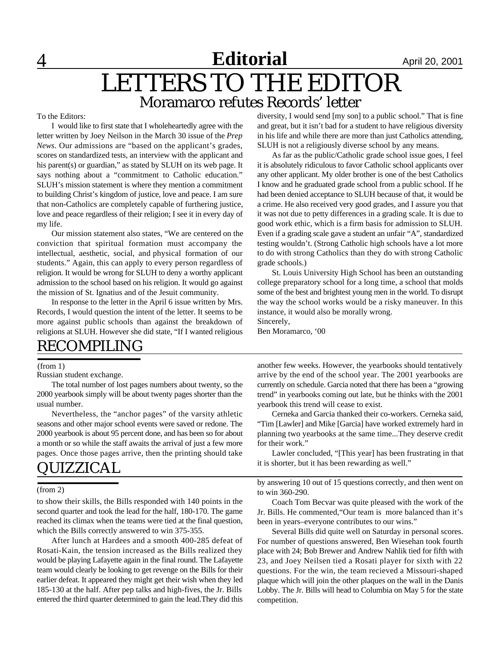## **Editorial April 20, 2001** LETTERS TO THE EDITOR Moramarco refutes Records' letter

#### To the Editors:

I would like to first state that I wholeheartedly agree with the letter written by Joey Neilson in the March 30 issue of the *Prep News*. Our admissions are "based on the applicant's grades, scores on standardized tests, an interview with the applicant and his parent(s) or guardian," as stated by SLUH on its web page. It says nothing about a "commitment to Catholic education." SLUH's mission statement is where they mention a commitment to building Christ's kingdom of justice, love and peace. I am sure that non-Catholics are completely capable of furthering justice, love and peace regardless of their religion; I see it in every day of my life.

Our mission statement also states, "We are centered on the conviction that spiritual formation must accompany the intellectual, aesthetic, social, and physical formation of our students." Again, this can apply to every person regardless of religion. It would be wrong for SLUH to deny a worthy applicant admission to the school based on his religion. It would go against the mission of St. Ignatius and of the Jesuit community.

In response to the letter in the April 6 issue written by Mrs. Records, I would question the intent of the letter. It seems to be more against public schools than against the breakdown of religions at SLUH. However she did state, "If I wanted religious

diversity, I would send [my son] to a public school." That is fine and great, but it isn't bad for a student to have religious diversity in his life and while there are more than just Catholics attending, SLUH is not a religiously diverse school by any means.

As far as the public/Catholic grade school issue goes, I feel it is absolutely ridiculous to favor Catholic school applicants over any other applicant. My older brother is one of the best Catholics I know and he graduated grade school from a public school. If he had been denied acceptance to SLUH because of that, it would be a crime. He also received very good grades, and I assure you that it was not due to petty differences in a grading scale. It is due to good work ethic, which is a firm basis for admission to SLUH. Even if a grading scale gave a student an unfair "A", standardized testing wouldn't. (Strong Catholic high schools have a lot more to do with strong Catholics than they do with strong Catholic grade schools.)

St. Louis University High School has been an outstanding college preparatory school for a long time, a school that molds some of the best and brightest young men in the world. To disrupt the way the school works would be a risky maneuver. In this instance, it would also be morally wrong. Sincerely,

Ben Moramarco, '00

## RECOMPILING

#### (from 1)

Russian student exchange.

The total number of lost pages numbers about twenty, so the 2000 yearbook simply will be about twenty pages shorter than the usual number.

Nevertheless, the "anchor pages" of the varsity athletic seasons and other major school events were saved or redone. The 2000 yearbook is about 95 percent done, and has been so for about a month or so while the staff awaits the arrival of just a few more pages. Once those pages arrive, then the printing should take

### UIZZICAL

#### (from 2)

to show their skills, the Bills responded with 140 points in the second quarter and took the lead for the half, 180-170. The game reached its climax when the teams were tied at the final question, which the Bills correctly answered to win 375-355.

After lunch at Hardees and a smooth 400-285 defeat of Rosati-Kain, the tension increased as the Bills realized they would be playing Lafayette again in the final round. The Lafayette team would clearly be looking to get revenge on the Bills for their earlier defeat. It appeared they might get their wish when they led 185-130 at the half. After pep talks and high-fives, the Jr. Bills entered the third quarter determined to gain the lead.They did this another few weeks. However, the yearbooks should tentatively arrive by the end of the school year. The 2001 yearbooks are currently on schedule. Garcia noted that there has been a "growing trend" in yearbooks coming out late, but he thinks with the 2001 yearbook this trend will cease to exist.

Cerneka and Garcia thanked their co-workers. Cerneka said, "Tim [Lawler] and Mike [Garcia] have worked extremely hard in planning two yearbooks at the same time...They deserve credit for their work."

Lawler concluded, "[This year] has been frustrating in that it is shorter, but it has been rewarding as well."

by answering 10 out of 15 questions correctly, and then went on to win 360-290.

Coach Tom Becvar was quite pleased with the work of the Jr. Bills. He commented,"Our team is more balanced than it's been in years–everyone contributes to our wins."

Several Bills did quite well on Saturday in personal scores. For number of questions answered, Ben Wiesehan took fourth place with 24; Bob Brewer and Andrew Nahlik tied for fifth with 23, and Joey Neilsen tied a Rosati player for sixth with 22 questions. For the win, the team recieved a Missouri-shaped plaque which will join the other plaques on the wall in the Danis Lobby. The Jr. Bills will head to Columbia on May 5 for the state competition.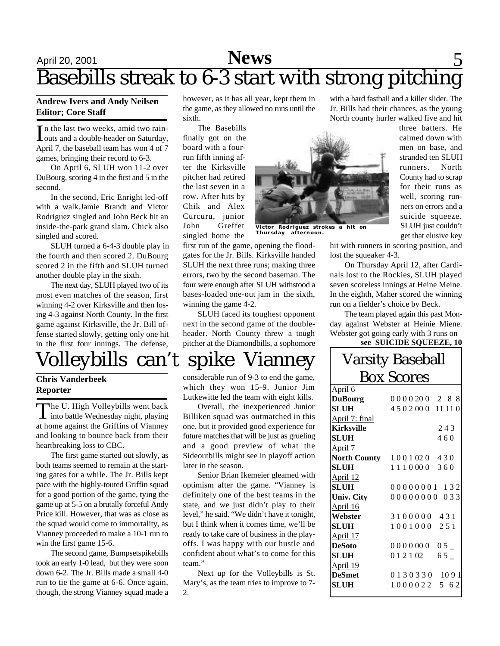## April 20, 2001 **News** 5 Basebills streak to 6-3 start with strong pitching

#### **Andrew Ivers and Andy Neilsen Editor; Core Staff**

In the last two weeks, amid two rain-<br>outs and a double-header on Saturday, n the last two weeks, amid two rain-April 7, the baseball team has won 4 of 7 games, bringing their record to 6-3.

On April 6, SLUH won 11-2 over DuBourg, scoring 4 in the first and 5 in the second.

In the second, Eric Enright led-off with a walk.Jamie Brandt and Victor Rodriguez singled and John Beck hit an inside-the-park grand slam. Chick also singled and scored.

SLUH turned a 6-4-3 double play in the fourth and then scored 2. DuBourg scored 2 in the fifth and SLUH turned another double play in the sixth.

The next day, SLUH played two of its most even matches of the season, first winning 4-2 over Kirksville and then losing 4-3 against North County. In the first game against Kirksville, the Jr. Bill offense started slowly, getting only one hit in the first four innings. The defense,

## Volleybills can't spike Vianney

#### **Chris Vanderbeek Reporter**

The U. High Volleybills went back<br>into battle Wednesday night, playing he U. High Volleybills went back at home against the Griffins of Vianney and looking to bounce back from their heartbreaking loss to CBC.

The first game started out slowly, as both teams seemed to remain at the starting gates for a while. The Jr. Bills kept pace with the highly-touted Griffin squad for a good portion of the game, tying the game up at 5-5 on a brutally forceful Andy Price kill. However, that was as close as the squad would come to immortality, as Vianney proceeded to make a 10-1 run to win the first game 15-6.

The second game, Bumpsetspikebills took an early 1-0 lead, but they were soon down 6-2. The Jr. Bills made a small 4-0 run to tie the game at 6-6. Once again, though, the strong Vianney squad made a however, as it has all year, kept them in the game, as they allowed no runs until the sixth.

The Basebills finally got on the board with a fourrun fifth inning after the Kirksville pitcher had retired the last seven in a row. After hits by Chik and Alex Curcuru, junior John Greffet singled home the



**Thursday afternoon.**

first run of the game, opening the floodgates for the Jr. Bills. Kirksville handed SLUH the next three runs; making three errors, two by the second baseman. The four were enough after SLUH withstood a bases-loaded one-out jam in the sixth, winning the game 4-2.

SLUH faced its toughest opponent next in the second game of the doubleheader. North County threw a tough pitcher at the Diamondbills, a sophomore

considerable run of 9-3 to end the game, which they won 15-9. Junior Jim Lutkewitte led the team with eight kills.

Overall, the inexperienced Junior Billiken squad was outmatched in this one, but it provided good experience for future matches that will be just as grueling and a good preview of what the Sideoutbills might see in playoff action later in the season.

Senior Brian Ikemeier gleamed with optimism after the game. "Vianney is definitely one of the best teams in the state, and we just didn't play to their level," he said. "We didn't have it tonight, but I think when it comes time, we'll be ready to take care of business in the playoffs. I was happy with our hustle and confident about what's to come for this team."

Next up for the Volleybills is St. Mary's, as the team tries to improve to 7-  $2^{\circ}$ 

with a hard fastball and a killer slider. The Jr. Bills had their chances, as the young North county hurler walked five and hit

three batters. He calmed down with men on base, and stranded ten SLUH runners. North County had to scrap for their runs as well, scoring runners on errors and a suicide squeeze. SLUH just couldn't

hit with runners in scoring position, and lost the squeaker 4-3.

get that elusive key

On Thursday April 12, after Cardinals lost to the Rockies, SLUH played seven scoreless innings at Heine Meine. In the eighth, Maher scored the winning run on a fielder's choice by Beck.

The team played again this past Monday against Webster at Heinie Miene. Webster got going early with 3 runs on

#### **see SUICIDE SQUEEZE, 10**

| <b>Varsity Baseball</b> |                                 |
|-------------------------|---------------------------------|
| <b>Box Scores</b>       |                                 |
| April 6                 |                                 |
| <b>DuBourg</b>          | 0000200 2 8 8                   |
| <b>SLUH</b>             | 4502000 11110                   |
| April 7: final          |                                 |
| <b>Kirksville</b>       | 243                             |
| <b>SLUH</b>             | 460                             |
| April 7                 |                                 |
|                         | <b>North County</b> 1001020 430 |
| <b>SLUH</b>             | 1110000 360                     |
| April 12                |                                 |
| <b>SLUH</b>             | 00000001 132                    |
| <b>Univ. City</b>       | 00000000 033                    |
| April 16                |                                 |
| Webster                 | 3100000 431                     |
| <b>SLUH</b>             | 1001000 251                     |
| April 17                |                                 |
| <b>DeSoto</b>           | 0000000005                      |
| <b>SLUH</b>             | $012102$ 65                     |
| April 19                |                                 |
| <b>DeSmet</b>           | 0130330 1091                    |
| <b>SLUH</b>             | 1000022 5 62                    |
|                         |                                 |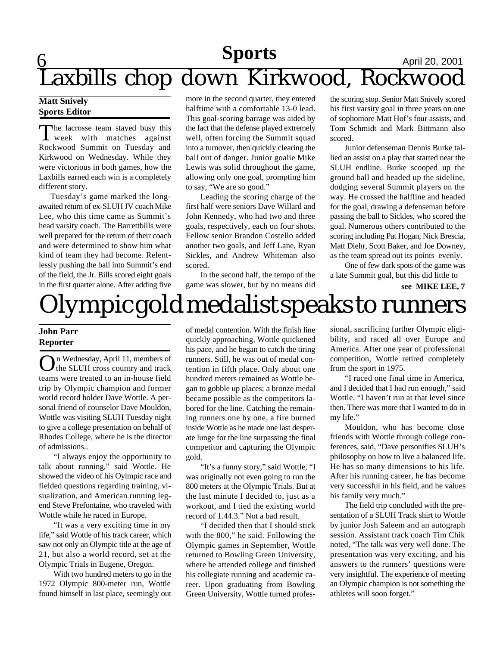# **Sports** April 20, 2001 Laxbills chop down Kirkwood, Rockwood

#### **Matt Snively Sports Editor**

The lacrosse team stayed busy this<br>week with matches against The lacrosse team stayed busy this Rockwood Summit on Tuesday and Kirkwood on Wednesday. While they were victorious in both games, how the Laxbills earned each win is a completely different story.

 Tuesday's game marked the longawaited return of ex-SLUH JV coach Mike Lee, who this time came as Summit's head varsity coach. The Barrettbills were well prepared for the return of their coach and were determined to show him what kind of team they had become. Relentlessly pushing the ball into Summit's end of the field, the Jr. Bills scored eight goals in the first quarter alone. After adding five

more in the second quarter, they entered halftime with a comfortable 13-0 lead. This goal-scoring barrage was aided by the fact that the defense played extremely well, often forcing the Summit squad into a turnover, then quickly clearing the ball out of danger. Junior goalie Mike Lewis was solid throughout the game, allowing only one goal, prompting him to say, "We are so good."

Leading the scoring charge of the first half were seniors Dave Willard and John Kennedy, who had two and three goals, respectively, each on four shots. Fellow senior Brandon Costello added another two goals, and Jeff Lane, Ryan Sickles, and Andrew Whiteman also scored.

In the second half, the tempo of the game was slower, but by no means did the scoring stop. Senior Matt Snively scored his first varsity goal in three years on one of sophomore Matt Hof's four assists, and Tom Schmidt and Mark Bittmann also scored.

Junior defenseman Dennis Burke tallied an assist on a play that started near the SLUH endline. Burke scooped up the ground ball and headed up the sideline, dodging several Summit players on the way. He crossed the halfline and headed for the goal, drawing a defenseman before passing the ball to Sickles, who scored the goal. Numerous others contributed to the scoring including Pat Hogan, Nick Brescia, Matt Diehr, Scott Baker, and Joe Downey, as the team spread out its points evenly.

One of few dark spots of the game was a late Summit goal, but this did little to

**see MIKE LEE, 7**

# Olympic gold medalist speaks to runners

### **John Parr Reporter**

On Wednesday, April 11, members of<br>the SLUH cross country and track the SLUH cross country and track teams were treated to an in-house field trip by Olympic champion and former world record holder Dave Wottle. A personal friend of counselor Dave Mouldon, Wottle was visiting SLUH Tuesday night to give a college presentation on behalf of Rhodes College, where he is the director of admissions..

"I always enjoy the opportunity to talk about running," said Wottle. He showed the video of his Oylmpic race and fielded questions regarding training, visualization, and American running legend Steve Prefontaine, who traveled with Wottle while he raced in Europe.

"It was a very exciting time in my life," said Wottle of his track career, which saw not only an Olympic title at the age of 21, but also a world record, set at the Olympic Trials in Eugene, Oregon.

With two hundred meters to go in the 1972 Olympic 800-meter run, Wottle found himself in last place, seemingly out of medal contention. With the finish line quickly approaching, Wottle quickened his pace, and he began to catch the tiring runners. Still, he was out of medal contention in fifth place. Only about one hundred meters remained as Wottle began to gobble up places; a bronze medal became possible as the competitors labored for the line. Catching the remaining runners one by one, a fire burned inside Wottle as he made one last desperate lunge for the line surpassing the final competitor and capturing the Olympic gold.

"It's a funny story," said Wottle, "I was originally not even going to run the 800 meters at the Olympic Trials. But at the last minute I decided to, just as a workout, and I tied the existing world record of 1.44.3." Not a bad result.

"I decided then that I should stick with the 800," he said. Following the Olympic games in September, Wottle returned to Bowling Green University, where he attended college and finished his collegiate running and academic career. Upon graduating from Bowling Green University, Wottle turned professional, sacrificing further Olympic eligibility, and raced all over Europe and America. After one year of professional competition, Wottle retired completely from the sport in 1975.

"I raced one final time in America, and I decided that I had run enough," said Wottle. "I haven't run at that level since then. There was more that I wanted to do in my life."

Mouldon, who has become close friends with Wottle through college conferences, said, "Dave personifies SLUH's philosophy on how to live a balanced life. He has so many dimensions to his life. After his running career, he has become very successful in his field, and he values his family very much."

The field trip concluded with the presentation of a SLUH Track shirt to Wottle by junior Josh Saleem and an autograph session. Assistant track coach Tim Chik noted, "The talk was very well done. The presentation was very exciting, and his answers to the runners' questions were very insightful. The experience of meeting an Olympic champion is not something the athletes will soon forget."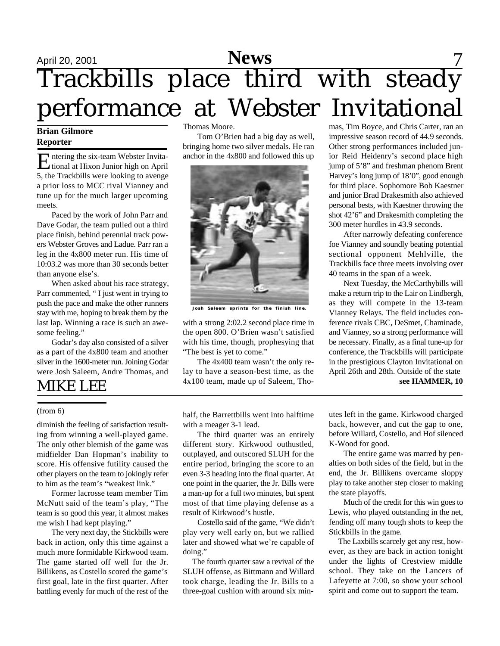# April 20, 2001 **News** 7 Trackbills place third with steady performance at Webster Invitational

#### **Brian Gilmore Reporter**

Entering the six-team Webster Invita-<br>tional at Hixon Junior high on April ntering the six-team Webster Invita-5, the Trackbills were looking to avenge a prior loss to MCC rival Vianney and tune up for the much larger upcoming meets.

Paced by the work of John Parr and Dave Godar, the team pulled out a third place finish, behind perennial track powers Webster Groves and Ladue. Parr ran a leg in the 4x800 meter run. His time of 10:03.2 was more than 30 seconds better than anyone else's.

When asked about his race strategy, Parr commented, " I just went in trying to push the pace and make the other runners stay with me, hoping to break them by the last lap. Winning a race is such an awesome feeling."

Godar's day also consisted of a silver as a part of the 4x800 team and another silver in the 1600-meter run. Joining Godar were Josh Saleem, Andre Thomas, and

### MIKE LEE

#### (from 6)

diminish the feeling of satisfaction resulting from winning a well-played game. The only other blemish of the game was midfielder Dan Hopman's inability to score. His offensive futility caused the other players on the team to jokingly refer to him as the team's "weakest link."

Former lacrosse team member Tim McNutt said of the team's play, "The team is so good this year, it almost makes me wish I had kept playing."

The very next day, the Stickbills were back in action, only this time against a much more formidable Kirkwood team. The game started off well for the Jr. Billikens, as Costello scored the game's first goal, late in the first quarter. After battling evenly for much of the rest of the Thomas Moore.

Tom O'Brien had a big day as well, bringing home two silver medals. He ran anchor in the 4x800 and followed this up



**Josh Saleem sprints for the finish line.**

with a strong 2:02.2 second place time in the open 800. O'Brien wasn't satisfied with his time, though, prophesying that "The best is yet to come."

The 4x400 team wasn't the only relay to have a season-best time, as the 4x100 team, made up of Saleem, Thomas, Tim Boyce, and Chris Carter, ran an impressive season record of 44.9 seconds. Other strong performances included junior Reid Heidenry's second place high jump of 5'8" and freshman phenom Brent Harvey's long jump of 18'0", good enough for third place. Sophomore Bob Kaestner and junior Brad Drakesmith also achieved personal bests, with Kaestner throwing the shot 42'6" and Drakesmith completing the 300 meter hurdles in 43.9 seconds.

After narrowly defeating conference foe Vianney and soundly beating potential sectional opponent Mehlville, the Trackbills face three meets involving over 40 teams in the span of a week.

Next Tuesday, the McCarthybills will make a return trip to the Lair on Lindbergh, as they will compete in the 13-team Vianney Relays. The field includes conference rivals CBC, DeSmet, Chaminade, and Vianney, so a strong performance will be necessary. Finally, as a final tune-up for conference, the Trackbills will participate in the prestigious Clayton Invitational on April 26th and 28th. Outside of the state **see HAMMER, 10**

half, the Barrettbills went into halftime with a meager 3-1 lead.

The third quarter was an entirely different story. Kirkwood outhustled, outplayed, and outscored SLUH for the entire period, bringing the score to an even 3-3 heading into the final quarter. At one point in the quarter, the Jr. Bills were a man-up for a full two minutes, but spent most of that time playing defense as a result of Kirkwood's hustle.

Costello said of the game, "We didn't play very well early on, but we rallied later and showed what we're capable of doing."

 The fourth quarter saw a revival of the SLUH offense, as Bittmann and Willard took charge, leading the Jr. Bills to a three-goal cushion with around six minutes left in the game. Kirkwood charged back, however, and cut the gap to one, before Willard, Costello, and Hof silenced K-Wood for good.

The entire game was marred by penalties on both sides of the field, but in the end, the Jr. Billikens overcame sloppy play to take another step closer to making the state playoffs.

Much of the credit for this win goes to Lewis, who played outstanding in the net, fending off many tough shots to keep the Stickbills in the game.

 The Laxbills scarcely get any rest, however, as they are back in action tonight under the lights of Crestview middle school. They take on the Lancers of Lafeyette at 7:00, so show your school spirit and come out to support the team.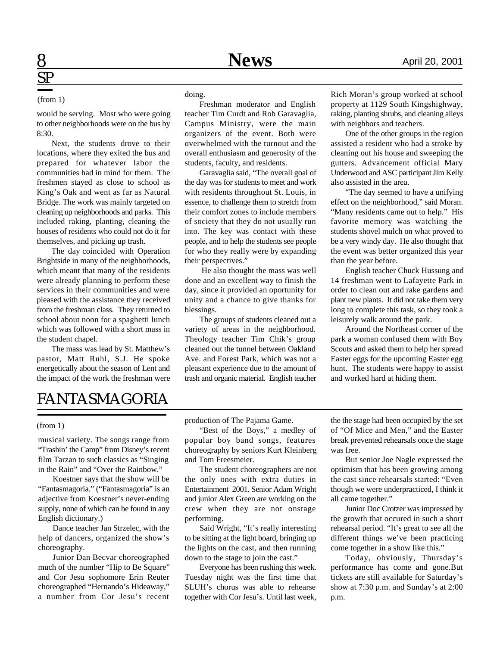#### (from 1)

would be serving. Most who were going to other neighborhoods were on the bus by 8:30.

Next, the students drove to their locations, where they exited the bus and prepared for whatever labor the communities had in mind for them. The freshmen stayed as close to school as King's Oak and went as far as Natural Bridge. The work was mainly targeted on cleaning up neighborhoods and parks. This included raking, planting, cleaning the houses of residents who could not do it for themselves, and picking up trash.

The day coincided with Operation Brightside in many of the neighborhoods, which meant that many of the residents were already planning to perform these services in their communities and were pleased with the assistance they received from the freshman class. They returned to school about noon for a spaghetti lunch which was followed with a short mass in the student chapel.

The mass was lead by St. Matthew's pastor, Matt Ruhl, S.J. He spoke energetically about the season of Lent and the impact of the work the freshman were

doing.

Freshman moderator and English teacher Tim Curdt and Rob Garavaglia, Campus Ministry, were the main organizers of the event. Both were overwhelmed with the turnout and the overall enthusiasm and generosity of the students, faculty, and residents.

Garavaglia said, "The overall goal of the day was for students to meet and work with residents throughout St. Louis, in essence, to challenge them to stretch from their comfort zones to include members of society that they do not usually run into. The key was contact with these people, and to help the students see people for who they really were by expanding their perspectives."

 He also thought the mass was well done and an excellent way to finish the day, since it provided an oportunity for unity and a chance to give thanks for blessings.

The groups of students cleaned out a variety of areas in the neighborhood. Theology teacher Tim Chik's group cleaned out the tunnel between Oakland Ave. and Forest Park, which was not a pleasant experience due to the amount of trash and organic material. English teacher Rich Moran's group worked at school property at 1129 South Kingshighway, raking, planting shrubs, and cleaning alleys with neighbors and teachers.

One of the other groups in the region assisted a resident who had a stroke by cleaning out his house and sweeping the gutters. Advancement official Mary Underwood and ASC participant Jim Kelly also assisted in the area.

"The day seemed to have a unifying effect on the neighborhood," said Moran. "Many residents came out to help." His favorite memory was watching the students shovel mulch on what proved to be a very windy day. He also thought that the event was better organized this year than the year before.

English teacher Chuck Hussung and 14 freshman went to Lafayette Park in order to clean out and rake gardens and plant new plants. It did not take them very long to complete this task, so they took a leisurely walk around the park.

Around the Northeast corner of the park a woman confused them with Boy Scouts and asked them to help her spread Easter eggs for the upcoming Easter egg hunt. The students were happy to assist and worked hard at hiding them.

## FANTASMAGORIA

#### (from 1)

musical variety. The songs range from "Trashin' the Camp" from Disney's recent film Tarzan to such classics as "Singing in the Rain" and "Over the Rainbow."

Koestner says that the show will be "Fantasmagoria." ("Fantasmagoria" is an adjective from Koestner's never-ending supply, none of which can be found in any English dictionary.)

Dance teacher Jan Strzelec, with the help of dancers, organized the show's choreography.

Junior Dan Becvar choreographed much of the number "Hip to Be Square" and Cor Jesu sophomore Erin Reuter choreographed "Hernando's Hideaway," a number from Cor Jesu's recent production of The Pajama Game.

"Best of the Boys," a medley of popular boy band songs, features choreography by seniors Kurt Kleinberg and Tom Freesmeier.

The student choreographers are not the only ones with extra duties in Entertainment 2001. Senior Adam Wright and junior Alex Green are working on the crew when they are not onstage performing.

Said Wright, "It's really interesting to be sitting at the light board, bringing up the lights on the cast, and then running down to the stage to join the cast."

Everyone has been rushing this week. Tuesday night was the first time that SLUH's chorus was able to rehearse together with Cor Jesu's. Until last week,

the the stage had been occupied by the set of "Of Mice and Men," and the Easter break prevented rehearsals once the stage was free.

But senior Joe Nagle expressed the optimism that has been growing among the cast since rehearsals started: "Even though we were underpracticed, I think it all came together."

Junior Doc Crotzer was impressed by the growth that occured in such a short rehearsal period. "It's great to see all the different things we've been practicing come together in a show like this."

Today, obviously, Thursday's performance has come and gone.But tickets are still available for Saturday's show at 7:30 p.m. and Sunday's at 2:00 p.m.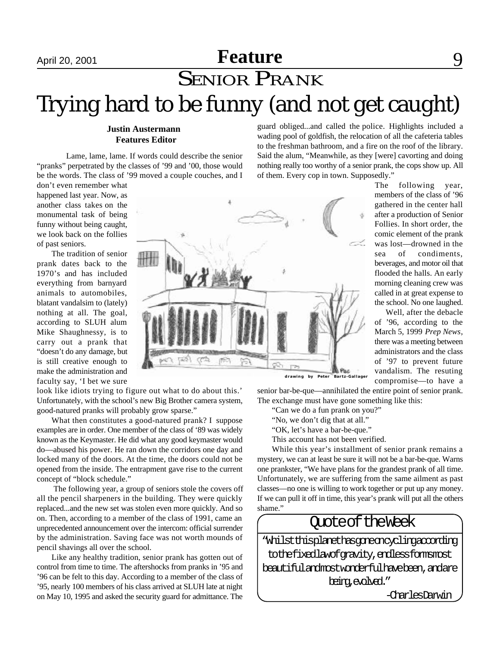# April 20, 2001 **Feature** 9 **SENIOR PRANK** Trying hard to be funny (and not get caught)

#### **Justin Austermann Features Editor**

Lame, lame, lame. If words could describe the senior "pranks" perpetrated by the classes of '99 and '00, those would be the words. The class of '99 moved a couple couches, and I guard obliged...and called the police. Highlights included a wading pool of goldfish, the relocation of all the cafeteria tables to the freshman bathroom, and a fire on the roof of the library. Said the alum, "Meanwhile, as they [were] cavorting and doing nothing really too worthy of a senior prank, the cops show up. All of them. Every cop in town. Supposedly."

don't even remember what happened last year. Now, as another class takes on the monumental task of being funny without being caught, we look back on the follies of past seniors.

The tradition of senior prank dates back to the 1970's and has included everything from barnyard animals to automobiles, blatant vandalsim to (lately) nothing at all. The goal, according to SLUH alum Mike Shaughnessy, is to carry out a prank that "doesn't do any damage, but is still creative enough to make the administration and faculty say, 'I bet we sure

 $\mathbb{H}$ li Pac **drawing by Peter Bartz-Gallager**

look like idiots trying to figure out what to do about this.' Unfortunately, with the school's new Big Brother camera system, good-natured pranks will probably grow sparse."

What then constitutes a good-natured prank? I suppose examples are in order. One member of the class of '89 was widely known as the Keymaster. He did what any good keymaster would do—abused his power. He ran down the corridors one day and locked many of the doors. At the time, the doors could not be opened from the inside. The entrapment gave rise to the current concept of "block schedule."

 The following year, a group of seniors stole the covers off all the pencil sharpeners in the building. They were quickly replaced...and the new set was stolen even more quickly. And so on. Then, according to a member of the class of 1991, came an unprecedented announcement over the intercom: official surrender by the administration. Saving face was not worth mounds of pencil shavings all over the school.

Like any healthy tradition, senior prank has gotten out of control from time to time. The aftershocks from pranks in '95 and '96 can be felt to this day. According to a member of the class of '95, nearly 100 members of his class arrived at SLUH late at night on May 10, 1995 and asked the security guard for admittance. The

senior bar-be-que—annihilated the entire point of senior prank. The exchange must have gone something like this:

"Can we do a fun prank on you?"

- "No, we don't dig that at all."
- "OK, let's have a bar-be-que."
- This account has not been verified.

While this year's installment of senior prank remains a mystery, we can at least be sure it will not be a bar-be-que. Warns one prankster, "We have plans for the grandest prank of all time. Unfortunately, we are suffering from the same ailment as past classes—no one is willing to work together or put up any money. If we can pull it off in time, this year's prank will put all the others shame."

### Quote of the Week

"Whilstthisplanethasgoneoncyclingaccording tothefixedlawofgravity,endlessformsmost beautifulandmostwonderfulhavebeen,andare being,evolved."

-CharlesDarwin

The following year, members of the class of '96 gathered in the center hall after a production of Senior Follies. In short order, the comic element of the prank was lost—drowned in the sea of condiments, beverages, and motor oil that flooded the halls. An early morning cleaning crew was called in at great expense to the school. No one laughed.

 Well, after the debacle of '96, according to the March 5, 1999 *Prep News*, there was a meeting between administrators and the class of '97 to prevent future vandalism. The resuting compromise—to have a